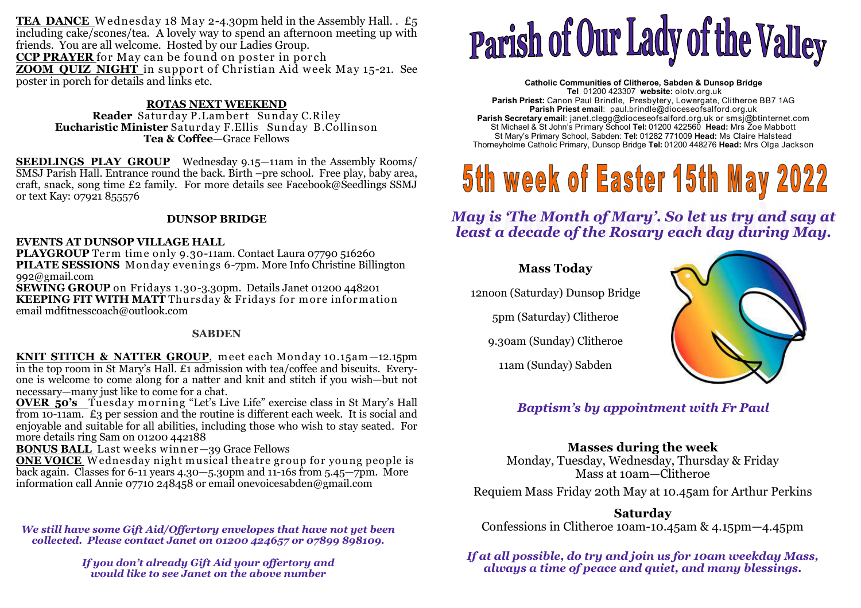TEA DANCE Wednesday 18 May 2-4.30pm held in the Assembly Hall. . £5 including cake/scones/tea. A lovely way to spend an afternoon meeting up with friends. You are all welcome. Hosted by our Ladies Group. **CCP PRAYER** for May can be found on poster in porch **ZOOM QUIZ NIGHT** in support of Christian Aid week May 15-21. See poster in porch for details and links etc.

#### **ROTAS NEXT WEEKEND**

Reader Saturday P. Lambert Sunday C. Riley **Reader** Saturday P.Lam bert Sunday C.Riley **Eucharistic Minister** Saturday F.Ellis Sunday B.Collinson **Tea & Coffee—**Grace Fellows

**SEEDLINGS PLAY GROUP** Wednesday 9.15—11am in the Assembly Rooms/ SMSJ Parish Hall. Entrance round the back. Birth –pre school. Free play, baby area, craft, snack, song time £2 family. For more details see Facebook@Seedlings SSMJ or text Kay: 07921 855576

#### **DUNSOP BRIDGE**

#### **EVENTS AT DUNSOP VILLAGE HALL**

PLAYGROUP Term time only 9.30-11am. Contact Laura 07790 516260 **PLAYGROUP** Term time only 9.30-11am. Contact Laura 07790 516260<br>**PILATE SESSIONS** Monday evenings 6-7pm. More Info Christine Billington 992@gmail.com

 **SEWING GROUP** on Fridays 1.30-3.30pm. Details Janet 01200 448201**KEEPING FIT WITH MATT** Thursday & Fridays for more information<br>email mdfitnesscoach@outlook.com email mdfitnesscoach@outlook.com

#### **SABDEN**

**KNIT STITCH & NATTER GROUP**, meet each Monday 10.15am—12.15pm in the top room in St Mary's Hall. £1 admission with tea/coffee and biscuits. Everyone is welcome to come along for a natter and knit and stitch if you wish—but not necessary—many just like to come for a chat.

**OVER 50's** Tuesday morning "Let's Live Life" exercise class in St Mary's Hall **OVER 50's** Tuesday m orning "Let's Live Life" exercise class in St Mary's Hall from 10-11am. £3 per session and the routine is different each week. It is social and enjoyable and suitable for all abilities, including those who wish to stay seated. For more details ring Sam on 01200 442188

**BONUS BALL** Last weeks winner-39 Grace Fellows

**ONE VOICE** Wednesday night musical theatre group for young people is **ONE VOICE** <sup>W</sup> ednesday night musical theatre group for young people is back again. Classes for 6-11 years 4.30—5.30pm and 11-16s from 5.45—7pm. More information call Annie 07710 248458 or email onevoicesabden@gmail.com

*We still have some Gift Aid/Offertory envelopes that have not yet been collected. Please contact Janet on 01200 424657 or 07899 898109.* 

> *If you don't already Gift Aid your offertory and would like to see Janet on the above number*

# Parish of Our Lady of the Valley

**Catholic Communities of Clitheroe, Sabden & Dunsop Bridge Tel** 01200 423307 **website:** olotv.org.uk **Parish Priest:** Canon Paul Brindle, Presbytery, Lowergate, Clitheroe BB7 1AG**Parish Priest email**: paul.brindle@dioceseofsalford.org.uk **Parish Secretary email**: janet.clegg@dioceseofsalford.org.uk or smsj@btinternet.com St Michael & St John's Primary School **Tel:** 01200 422560 **Head:** Mrs Zoe Mabbott St Mary's Primary School, Sabden: **Tel:** 01282 771009 **Head:** Ms Claire HalsteadThorneyholme Catholic Primary, Dunsop Bridge **Tel:** 01200 448276 **Head:** Mrs Olga Jackson

## 5th week of Easter 15th May 2022

*May is 'The Month of Mary'. So let us try and say at least a decade of the Rosary each day during May.* 

#### **Mass Today**

12noon (Saturday) Dunsop Bridge

5pm (Saturday) Clitheroe

9.30am (Sunday) Clitheroe

11am (Sunday) Sabden



*Baptism's by appointment with Fr Paul* 

#### **Masses during the week**

 Monday, Tuesday, Wednesday, Thursday & Friday Mass at 10am—Clitheroe

Requiem Mass Friday 20th May at 10.45am for Arthur Perkins

**Saturday**Confessions in Clitheroe 10am-10.45am & 4.15pm—4.45pm

*If at all possible, do try and join us for 10am weekday Mass, always a time of peace and quiet, and many blessings.*